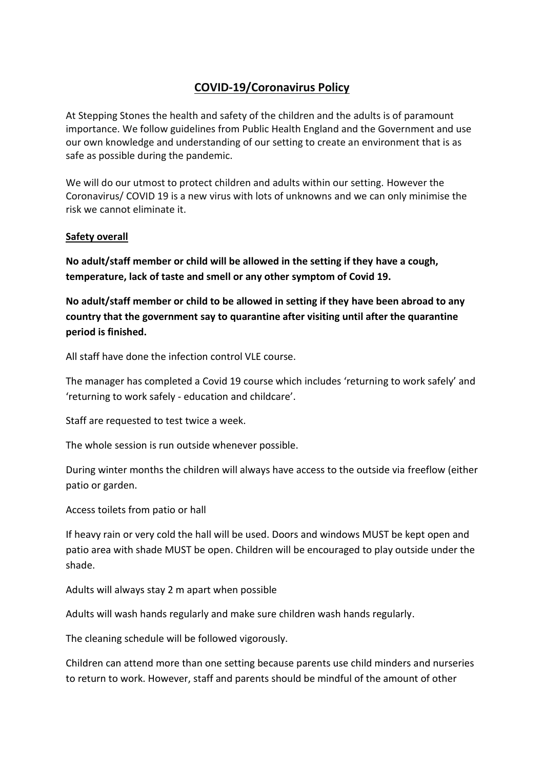# **COVID-19/Coronavirus Policy**

At Stepping Stones the health and safety of the children and the adults is of paramount importance. We follow guidelines from Public Health England and the Government and use our own knowledge and understanding of our setting to create an environment that is as safe as possible during the pandemic.

We will do our utmost to protect children and adults within our setting. However the Coronavirus/ COVID 19 is a new virus with lots of unknowns and we can only minimise the risk we cannot eliminate it.

## **Safety overall**

**No adult/staff member or child will be allowed in the setting if they have a cough, temperature, lack of taste and smell or any other symptom of Covid 19.** 

**No adult/staff member or child to be allowed in setting if they have been abroad to any country that the government say to quarantine after visiting until after the quarantine period is finished.** 

All staff have done the infection control VLE course.

The manager has completed a Covid 19 course which includes 'returning to work safely' and 'returning to work safely - education and childcare'.

Staff are requested to test twice a week.

The whole session is run outside whenever possible.

During winter months the children will always have access to the outside via freeflow (either patio or garden.

Access toilets from patio or hall

If heavy rain or very cold the hall will be used. Doors and windows MUST be kept open and patio area with shade MUST be open. Children will be encouraged to play outside under the shade.

Adults will always stay 2 m apart when possible

Adults will wash hands regularly and make sure children wash hands regularly.

The cleaning schedule will be followed vigorously.

Children can attend more than one setting because parents use child minders and nurseries to return to work. However, staff and parents should be mindful of the amount of other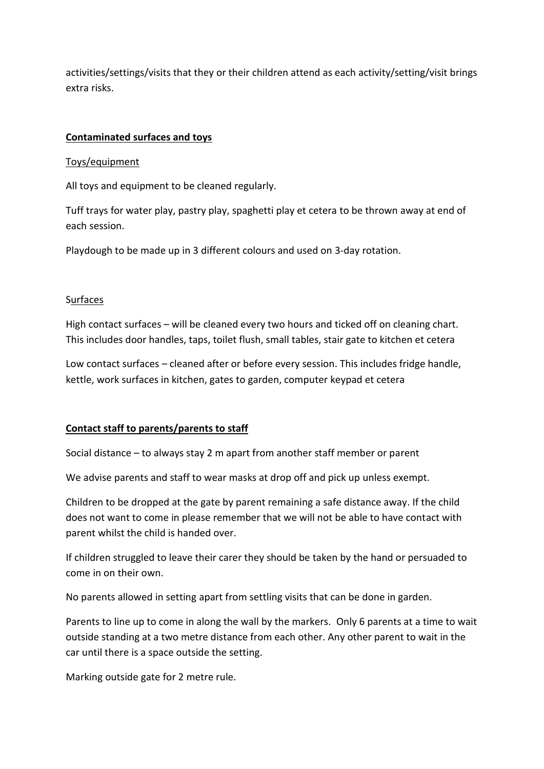activities/settings/visits that they or their children attend as each activity/setting/visit brings extra risks.

## **Contaminated surfaces and toys**

#### Toys/equipment

All toys and equipment to be cleaned regularly.

Tuff trays for water play, pastry play, spaghetti play et cetera to be thrown away at end of each session.

Playdough to be made up in 3 different colours and used on 3-day rotation.

### **Surfaces**

High contact surfaces – will be cleaned every two hours and ticked off on cleaning chart. This includes door handles, taps, toilet flush, small tables, stair gate to kitchen et cetera

Low contact surfaces – cleaned after or before every session. This includes fridge handle, kettle, work surfaces in kitchen, gates to garden, computer keypad et cetera

### **Contact staff to parents/parents to staff**

Social distance – to always stay 2 m apart from another staff member or parent

We advise parents and staff to wear masks at drop off and pick up unless exempt.

Children to be dropped at the gate by parent remaining a safe distance away. If the child does not want to come in please remember that we will not be able to have contact with parent whilst the child is handed over.

If children struggled to leave their carer they should be taken by the hand or persuaded to come in on their own.

No parents allowed in setting apart from settling visits that can be done in garden.

Parents to line up to come in along the wall by the markers. Only 6 parents at a time to wait outside standing at a two metre distance from each other. Any other parent to wait in the car until there is a space outside the setting.

Marking outside gate for 2 metre rule.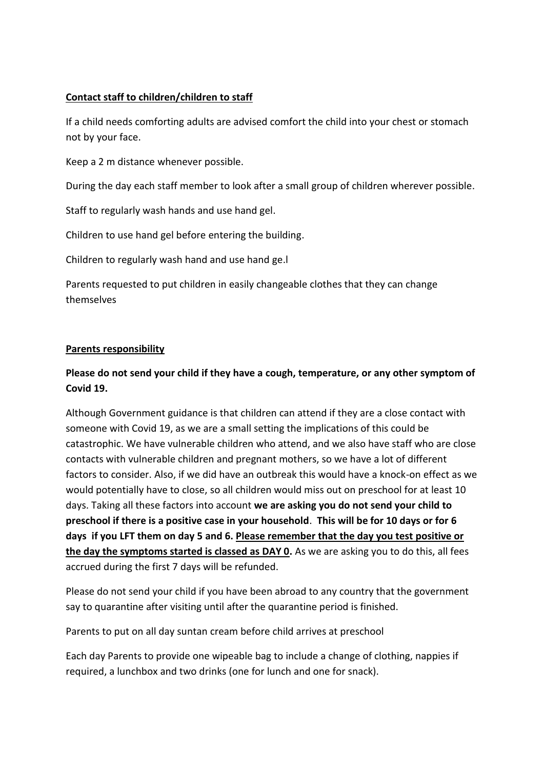## **Contact staff to children/children to staff**

If a child needs comforting adults are advised comfort the child into your chest or stomach not by your face.

Keep a 2 m distance whenever possible.

During the day each staff member to look after a small group of children wherever possible.

Staff to regularly wash hands and use hand gel.

Children to use hand gel before entering the building.

Children to regularly wash hand and use hand ge.l

Parents requested to put children in easily changeable clothes that they can change themselves

## **Parents responsibility**

# **Please do not send your child if they have a cough, temperature, or any other symptom of Covid 19.**

Although Government guidance is that children can attend if they are a close contact with someone with Covid 19, as we are a small setting the implications of this could be catastrophic. We have vulnerable children who attend, and we also have staff who are close contacts with vulnerable children and pregnant mothers, so we have a lot of different factors to consider. Also, if we did have an outbreak this would have a knock-on effect as we would potentially have to close, so all children would miss out on preschool for at least 10 days. Taking all these factors into account **we are asking you do not send your child to preschool if there is a positive case in your household**. **This will be for 10 days or for 6 days if you LFT them on day 5 and 6. Please remember that the day you test positive or the day the symptoms started is classed as DAY 0.** As we are asking you to do this, all fees accrued during the first 7 days will be refunded.

Please do not send your child if you have been abroad to any country that the government say to quarantine after visiting until after the quarantine period is finished.

Parents to put on all day suntan cream before child arrives at preschool

Each day Parents to provide one wipeable bag to include a change of clothing, nappies if required, a lunchbox and two drinks (one for lunch and one for snack).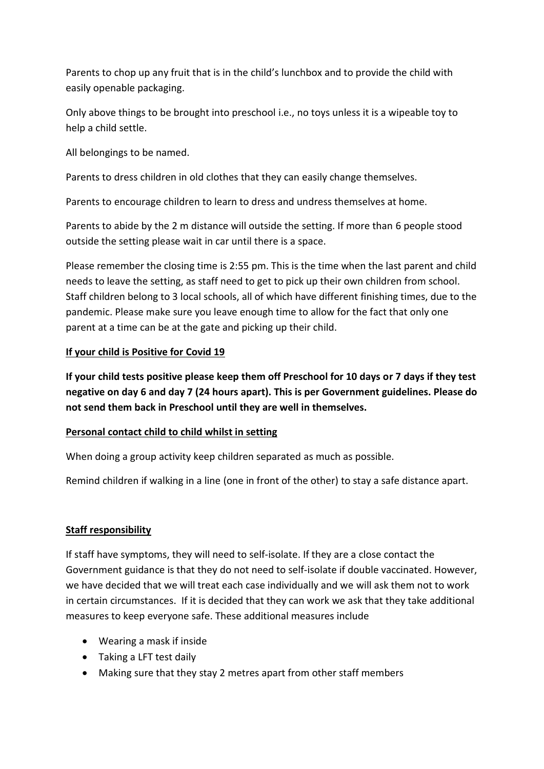Parents to chop up any fruit that is in the child's lunchbox and to provide the child with easily openable packaging.

Only above things to be brought into preschool i.e., no toys unless it is a wipeable toy to help a child settle.

All belongings to be named.

Parents to dress children in old clothes that they can easily change themselves.

Parents to encourage children to learn to dress and undress themselves at home.

Parents to abide by the 2 m distance will outside the setting. If more than 6 people stood outside the setting please wait in car until there is a space.

Please remember the closing time is 2:55 pm. This is the time when the last parent and child needs to leave the setting, as staff need to get to pick up their own children from school. Staff children belong to 3 local schools, all of which have different finishing times, due to the pandemic. Please make sure you leave enough time to allow for the fact that only one parent at a time can be at the gate and picking up their child.

# **If your child is Positive for Covid 19**

**If your child tests positive please keep them off Preschool for 10 days or 7 days if they test negative on day 6 and day 7 (24 hours apart). This is per Government guidelines. Please do not send them back in Preschool until they are well in themselves.** 

## **Personal contact child to child whilst in setting**

When doing a group activity keep children separated as much as possible.

Remind children if walking in a line (one in front of the other) to stay a safe distance apart.

# **Staff responsibility**

If staff have symptoms, they will need to self-isolate. If they are a close contact the Government guidance is that they do not need to self-isolate if double vaccinated. However, we have decided that we will treat each case individually and we will ask them not to work in certain circumstances. If it is decided that they can work we ask that they take additional measures to keep everyone safe. These additional measures include

- Wearing a mask if inside
- Taking a LFT test daily
- Making sure that they stay 2 metres apart from other staff members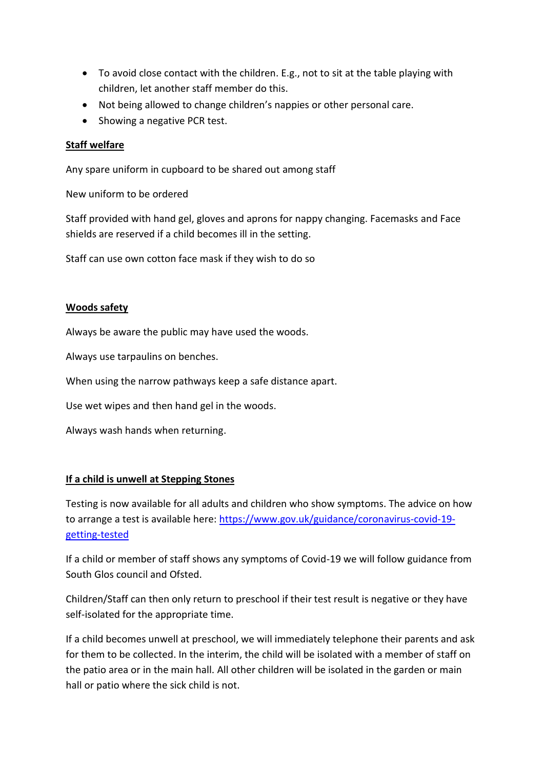- To avoid close contact with the children. E.g., not to sit at the table playing with children, let another staff member do this.
- Not being allowed to change children's nappies or other personal care.
- Showing a negative PCR test.

### **Staff welfare**

Any spare uniform in cupboard to be shared out among staff

New uniform to be ordered

Staff provided with hand gel, gloves and aprons for nappy changing. Facemasks and Face shields are reserved if a child becomes ill in the setting.

Staff can use own cotton face mask if they wish to do so

## **Woods safety**

Always be aware the public may have used the woods.

Always use tarpaulins on benches.

When using the narrow pathways keep a safe distance apart.

Use wet wipes and then hand gel in the woods.

Always wash hands when returning.

### **If a child is unwell at Stepping Stones**

Testing is now available for all adults and children who show symptoms. The advice on how to arrange a test is available here: [https://www.gov.uk/guidance/coronavirus-covid-19](https://www.gov.uk/guidance/coronavirus-covid-19-getting-tested) [getting-tested](https://www.gov.uk/guidance/coronavirus-covid-19-getting-tested)

If a child or member of staff shows any symptoms of Covid-19 we will follow guidance from South Glos council and Ofsted.

Children/Staff can then only return to preschool if their test result is negative or they have self-isolated for the appropriate time.

If a child becomes unwell at preschool, we will immediately telephone their parents and ask for them to be collected. In the interim, the child will be isolated with a member of staff on the patio area or in the main hall. All other children will be isolated in the garden or main hall or patio where the sick child is not.